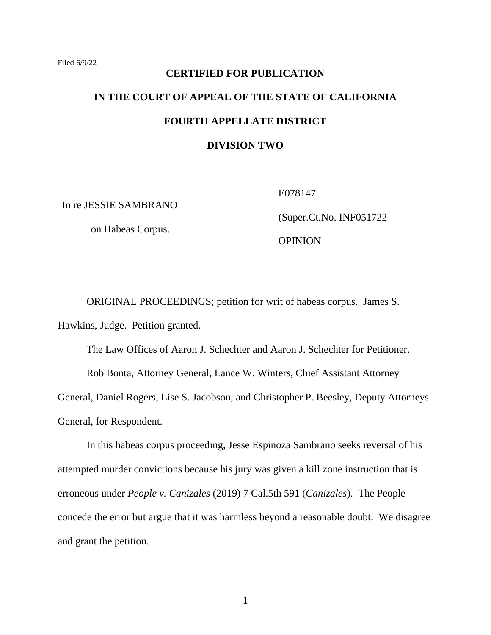# **CERTIFIED FOR PUBLICATION IN THE COURT OF APPEAL OF THE STATE OF CALIFORNIA FOURTH APPELLATE DISTRICT DIVISION TWO**

In re JESSIE SAMBRANO

on Habeas Corpus.

E078147

(Super.Ct.No. INF051722

OPINION

ORIGINAL PROCEEDINGS; petition for writ of habeas corpus. James S. Hawkins, Judge. Petition granted.

The Law Offices of Aaron J. Schechter and Aaron J. Schechter for Petitioner.

Rob Bonta, Attorney General, Lance W. Winters, Chief Assistant Attorney General, Daniel Rogers, Lise S. Jacobson, and Christopher P. Beesley, Deputy Attorneys General, for Respondent.

In this habeas corpus proceeding, Jesse Espinoza Sambrano seeks reversal of his attempted murder convictions because his jury was given a kill zone instruction that is erroneous under *People v. Canizales* (2019) 7 Cal.5th 591 (*Canizales*). The People concede the error but argue that it was harmless beyond a reasonable doubt. We disagree and grant the petition.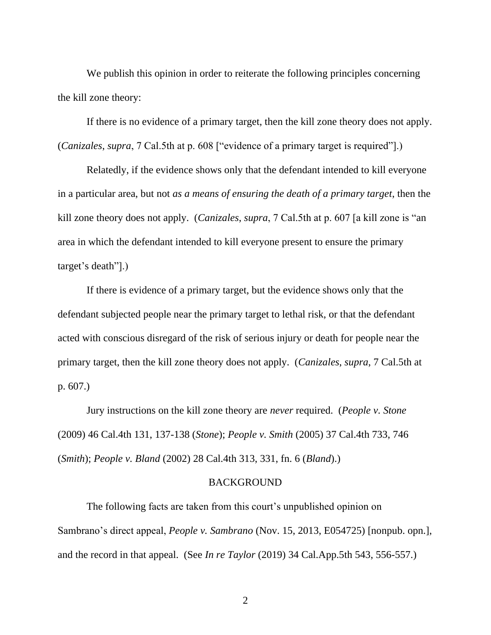We publish this opinion in order to reiterate the following principles concerning the kill zone theory:

If there is no evidence of a primary target, then the kill zone theory does not apply. (*Canizales*, *supra*, 7 Cal.5th at p. 608 ["evidence of a primary target is required"].)

Relatedly, if the evidence shows only that the defendant intended to kill everyone in a particular area, but not *as a means of ensuring the death of a primary target*, then the kill zone theory does not apply. (*Canizales*, *supra*, 7 Cal.5th at p. 607 [a kill zone is "an area in which the defendant intended to kill everyone present to ensure the primary target's death"].)

If there is evidence of a primary target, but the evidence shows only that the defendant subjected people near the primary target to lethal risk, or that the defendant acted with conscious disregard of the risk of serious injury or death for people near the primary target, then the kill zone theory does not apply. (*Canizales*, *supra*, 7 Cal.5th at p. 607.)

Jury instructions on the kill zone theory are *never* required. (*People v. Stone* (2009) 46 Cal.4th 131, 137-138 (*Stone*); *People v. Smith* (2005) 37 Cal.4th 733, 746 (*Smith*); *People v. Bland* (2002) 28 Cal.4th 313, 331, fn. 6 (*Bland*).)

#### BACKGROUND

The following facts are taken from this court's unpublished opinion on Sambrano's direct appeal, *People v. Sambrano* (Nov. 15, 2013, E054725) [nonpub. opn.], and the record in that appeal. (See *In re Taylor* (2019) 34 Cal.App.5th 543, 556-557.)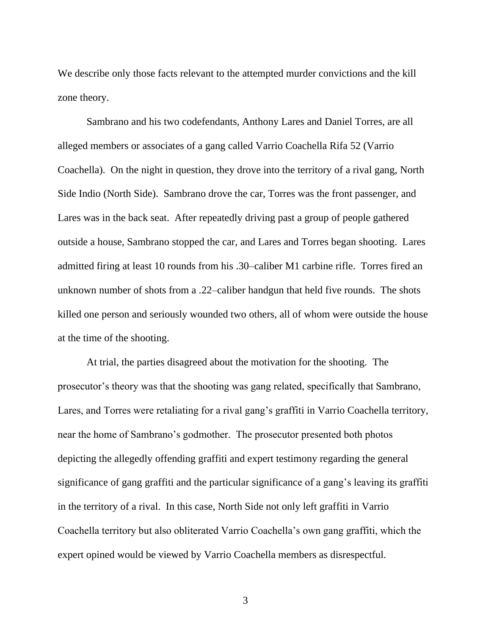We describe only those facts relevant to the attempted murder convictions and the kill zone theory.

Sambrano and his two codefendants, Anthony Lares and Daniel Torres, are all alleged members or associates of a gang called Varrio Coachella Rifa 52 (Varrio Coachella). On the night in question, they drove into the territory of a rival gang, North Side Indio (North Side). Sambrano drove the car, Torres was the front passenger, and Lares was in the back seat. After repeatedly driving past a group of people gathered outside a house, Sambrano stopped the car, and Lares and Torres began shooting. Lares admitted firing at least 10 rounds from his .30–caliber M1 carbine rifle. Torres fired an unknown number of shots from a .22–caliber handgun that held five rounds. The shots killed one person and seriously wounded two others, all of whom were outside the house at the time of the shooting.

At trial, the parties disagreed about the motivation for the shooting. The prosecutor's theory was that the shooting was gang related, specifically that Sambrano, Lares, and Torres were retaliating for a rival gang's graffiti in Varrio Coachella territory, near the home of Sambrano's godmother. The prosecutor presented both photos depicting the allegedly offending graffiti and expert testimony regarding the general significance of gang graffiti and the particular significance of a gang's leaving its graffiti in the territory of a rival. In this case, North Side not only left graffiti in Varrio Coachella territory but also obliterated Varrio Coachella's own gang graffiti, which the expert opined would be viewed by Varrio Coachella members as disrespectful.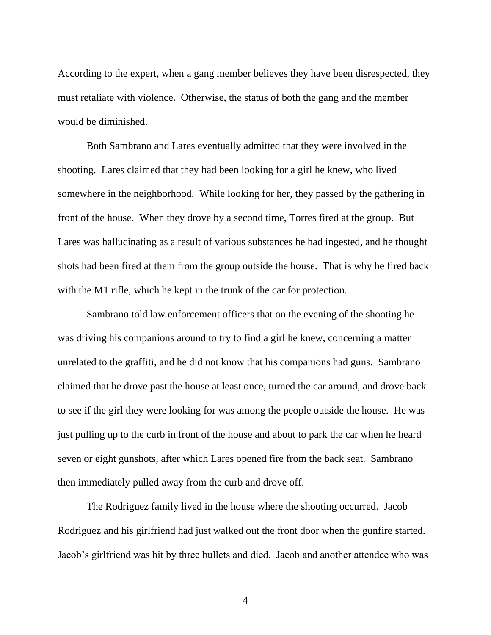According to the expert, when a gang member believes they have been disrespected, they must retaliate with violence. Otherwise, the status of both the gang and the member would be diminished.

Both Sambrano and Lares eventually admitted that they were involved in the shooting. Lares claimed that they had been looking for a girl he knew, who lived somewhere in the neighborhood. While looking for her, they passed by the gathering in front of the house. When they drove by a second time, Torres fired at the group. But Lares was hallucinating as a result of various substances he had ingested, and he thought shots had been fired at them from the group outside the house. That is why he fired back with the M1 rifle, which he kept in the trunk of the car for protection.

Sambrano told law enforcement officers that on the evening of the shooting he was driving his companions around to try to find a girl he knew, concerning a matter unrelated to the graffiti, and he did not know that his companions had guns. Sambrano claimed that he drove past the house at least once, turned the car around, and drove back to see if the girl they were looking for was among the people outside the house. He was just pulling up to the curb in front of the house and about to park the car when he heard seven or eight gunshots, after which Lares opened fire from the back seat. Sambrano then immediately pulled away from the curb and drove off.

The Rodriguez family lived in the house where the shooting occurred. Jacob Rodriguez and his girlfriend had just walked out the front door when the gunfire started. Jacob's girlfriend was hit by three bullets and died. Jacob and another attendee who was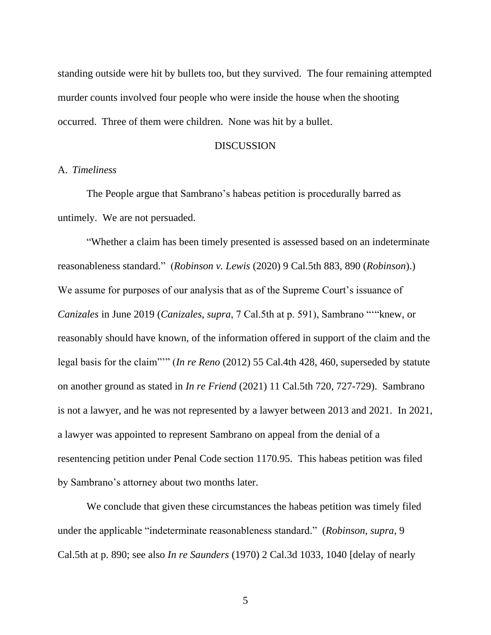standing outside were hit by bullets too, but they survived. The four remaining attempted murder counts involved four people who were inside the house when the shooting occurred. Three of them were children. None was hit by a bullet.

#### DISCUSSION

#### A. *Timeliness*

The People argue that Sambrano's habeas petition is procedurally barred as untimely. We are not persuaded.

"Whether a claim has been timely presented is assessed based on an indeterminate reasonableness standard." (*Robinson v. Lewis* (2020) 9 Cal.5th 883, 890 (*Robinson*).) We assume for purposes of our analysis that as of the Supreme Court's issuance of *Canizales* in June 2019 (*Canizales*, *supra*, 7 Cal.5th at p. 591), Sambrano "'"knew, or reasonably should have known, of the information offered in support of the claim and the legal basis for the claim"'" (*In re Reno* (2012) 55 Cal.4th 428, 460, superseded by statute on another ground as stated in *In re Friend* (2021) 11 Cal.5th 720, 727-729). Sambrano is not a lawyer, and he was not represented by a lawyer between 2013 and 2021. In 2021, a lawyer was appointed to represent Sambrano on appeal from the denial of a resentencing petition under Penal Code section 1170.95. This habeas petition was filed by Sambrano's attorney about two months later.

We conclude that given these circumstances the habeas petition was timely filed under the applicable "indeterminate reasonableness standard." (*Robinson*, *supra*, 9 Cal.5th at p. 890; see also *In re Saunders* (1970) 2 Cal.3d 1033, 1040 [delay of nearly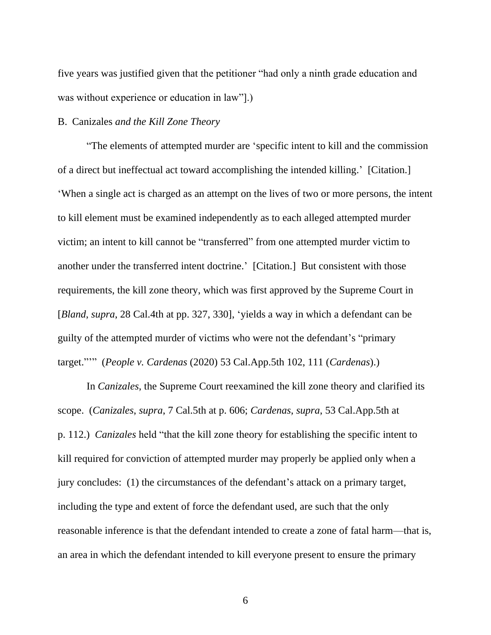five years was justified given that the petitioner "had only a ninth grade education and was without experience or education in law"].)

#### B. Canizales *and the Kill Zone Theory*

"The elements of attempted murder are 'specific intent to kill and the commission of a direct but ineffectual act toward accomplishing the intended killing.' [Citation.] 'When a single act is charged as an attempt on the lives of two or more persons, the intent to kill element must be examined independently as to each alleged attempted murder victim; an intent to kill cannot be "transferred" from one attempted murder victim to another under the transferred intent doctrine.' [Citation.] But consistent with those requirements, the kill zone theory, which was first approved by the Supreme Court in [*Bland*, *supra*, 28 Cal.4th at pp. 327, 330], 'yields a way in which a defendant can be guilty of the attempted murder of victims who were not the defendant's "primary target."'" (*People v. Cardenas* (2020) 53 Cal.App.5th 102, 111 (*Cardenas*).)

In *Canizales*, the Supreme Court reexamined the kill zone theory and clarified its scope. (*Canizales*, *supra*, 7 Cal.5th at p. 606; *Cardenas*, *supra*, 53 Cal.App.5th at p. 112.) *Canizales* held "that the kill zone theory for establishing the specific intent to kill required for conviction of attempted murder may properly be applied only when a jury concludes: (1) the circumstances of the defendant's attack on a primary target, including the type and extent of force the defendant used, are such that the only reasonable inference is that the defendant intended to create a zone of fatal harm—that is, an area in which the defendant intended to kill everyone present to ensure the primary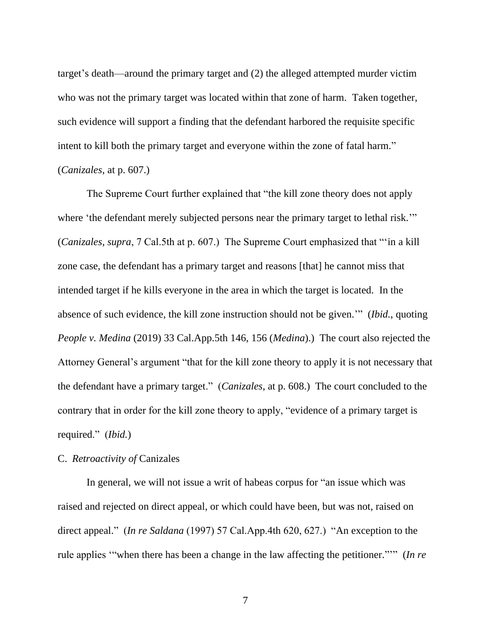target's death—around the primary target and (2) the alleged attempted murder victim who was not the primary target was located within that zone of harm. Taken together, such evidence will support a finding that the defendant harbored the requisite specific intent to kill both the primary target and everyone within the zone of fatal harm." (*Canizales*, at p. 607.)

The Supreme Court further explained that "the kill zone theory does not apply where 'the defendant merely subjected persons near the primary target to lethal risk." (*Canizales*, *supra*, 7 Cal.5th at p. 607.) The Supreme Court emphasized that "'in a kill zone case, the defendant has a primary target and reasons [that] he cannot miss that intended target if he kills everyone in the area in which the target is located. In the absence of such evidence, the kill zone instruction should not be given.'" (*Ibid.*, quoting *People v. Medina* (2019) 33 Cal.App.5th 146, 156 (*Medina*).) The court also rejected the Attorney General's argument "that for the kill zone theory to apply it is not necessary that the defendant have a primary target." (*Canizales*, at p. 608.) The court concluded to the contrary that in order for the kill zone theory to apply, "evidence of a primary target is required." (*Ibid.*)

#### C. *Retroactivity of* Canizales

In general, we will not issue a writ of habeas corpus for "an issue which was raised and rejected on direct appeal, or which could have been, but was not, raised on direct appeal." (*In re Saldana* (1997) 57 Cal.App.4th 620, 627.) "An exception to the rule applies '"when there has been a change in the law affecting the petitioner."'" (*In re*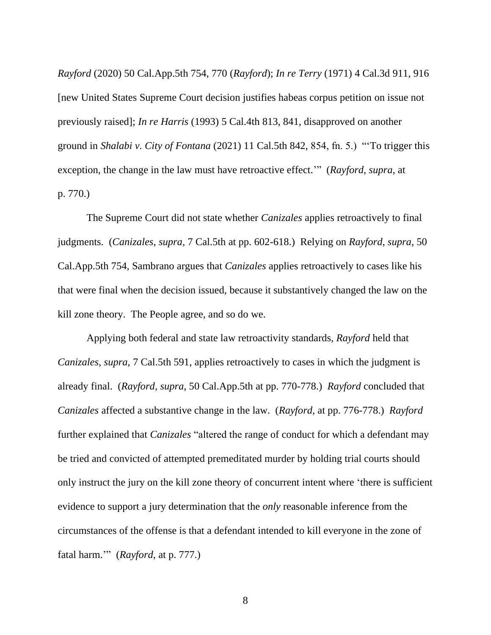*Rayford* (2020) 50 Cal.App.5th 754, 770 (*Rayford*); *In re Terry* (1971) 4 Cal.3d 911, 916 [new United States Supreme Court decision justifies habeas corpus petition on issue not previously raised]; *In re Harris* (1993) 5 Cal.4th 813, 841, disapproved on another ground in *Shalabi v. City of Fontana* (2021) 11 Cal.5th 842, 854, fn. 5.) "'To trigger this exception, the change in the law must have retroactive effect.'" (*Rayford*, *supra*, at p. 770.)

The Supreme Court did not state whether *Canizales* applies retroactively to final judgments. (*Canizales*, *supra*, 7 Cal.5th at pp. 602-618.) Relying on *Rayford*, *supra*, 50 Cal.App.5th 754, Sambrano argues that *Canizales* applies retroactively to cases like his that were final when the decision issued, because it substantively changed the law on the kill zone theory. The People agree, and so do we.

Applying both federal and state law retroactivity standards, *Rayford* held that *Canizales*, *supra*, 7 Cal.5th 591, applies retroactively to cases in which the judgment is already final. (*Rayford*, *supra*, 50 Cal.App.5th at pp. 770-778.) *Rayford* concluded that *Canizales* affected a substantive change in the law. (*Rayford*, at pp. 776-778.) *Rayford* further explained that *Canizales* "altered the range of conduct for which a defendant may be tried and convicted of attempted premeditated murder by holding trial courts should only instruct the jury on the kill zone theory of concurrent intent where 'there is sufficient evidence to support a jury determination that the *only* reasonable inference from the circumstances of the offense is that a defendant intended to kill everyone in the zone of fatal harm.'" (*Rayford*, at p. 777.)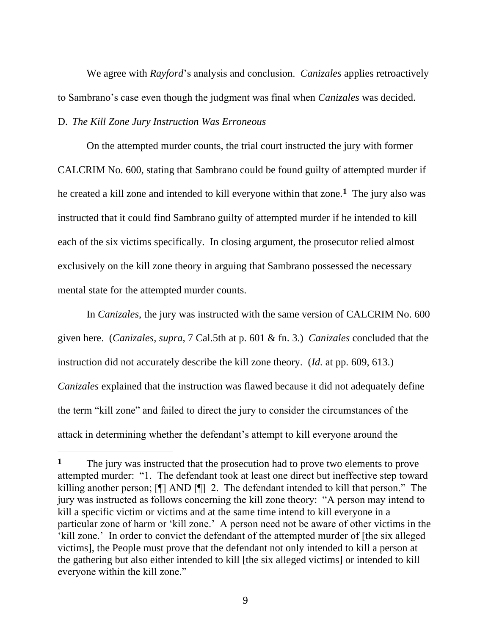We agree with *Rayford*'s analysis and conclusion. *Canizales* applies retroactively to Sambrano's case even though the judgment was final when *Canizales* was decided.

### D. *The Kill Zone Jury Instruction Was Erroneous*

On the attempted murder counts, the trial court instructed the jury with former CALCRIM No. 600, stating that Sambrano could be found guilty of attempted murder if he created a kill zone and intended to kill everyone within that zone.**<sup>1</sup>** The jury also was instructed that it could find Sambrano guilty of attempted murder if he intended to kill each of the six victims specifically. In closing argument, the prosecutor relied almost exclusively on the kill zone theory in arguing that Sambrano possessed the necessary mental state for the attempted murder counts.

In *Canizales*, the jury was instructed with the same version of CALCRIM No. 600 given here. (*Canizales*, *supra*, 7 Cal.5th at p. 601 & fn. 3.) *Canizales* concluded that the instruction did not accurately describe the kill zone theory. (*Id.* at pp. 609, 613.) *Canizales* explained that the instruction was flawed because it did not adequately define the term "kill zone" and failed to direct the jury to consider the circumstances of the attack in determining whether the defendant's attempt to kill everyone around the

**<sup>1</sup>** The jury was instructed that the prosecution had to prove two elements to prove attempted murder: "1. The defendant took at least one direct but ineffective step toward killing another person; [¶] AND [¶] 2. The defendant intended to kill that person." The jury was instructed as follows concerning the kill zone theory: "A person may intend to kill a specific victim or victims and at the same time intend to kill everyone in a particular zone of harm or 'kill zone.' A person need not be aware of other victims in the 'kill zone.' In order to convict the defendant of the attempted murder of [the six alleged victims], the People must prove that the defendant not only intended to kill a person at the gathering but also either intended to kill [the six alleged victims] or intended to kill everyone within the kill zone."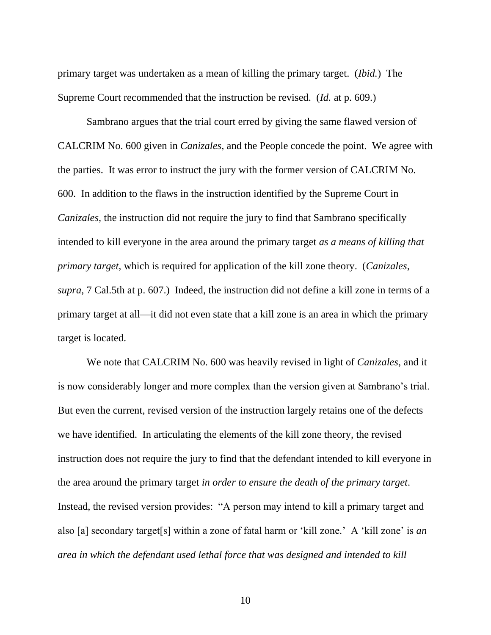primary target was undertaken as a mean of killing the primary target. (*Ibid.*) The Supreme Court recommended that the instruction be revised. (*Id.* at p. 609.)

Sambrano argues that the trial court erred by giving the same flawed version of CALCRIM No. 600 given in *Canizales*, and the People concede the point. We agree with the parties. It was error to instruct the jury with the former version of CALCRIM No. 600. In addition to the flaws in the instruction identified by the Supreme Court in *Canizales*, the instruction did not require the jury to find that Sambrano specifically intended to kill everyone in the area around the primary target *as a means of killing that primary target*, which is required for application of the kill zone theory. (*Canizales*, *supra*, 7 Cal.5th at p. 607.) Indeed, the instruction did not define a kill zone in terms of a primary target at all—it did not even state that a kill zone is an area in which the primary target is located.

We note that CALCRIM No. 600 was heavily revised in light of *Canizales*, and it is now considerably longer and more complex than the version given at Sambrano's trial. But even the current, revised version of the instruction largely retains one of the defects we have identified. In articulating the elements of the kill zone theory, the revised instruction does not require the jury to find that the defendant intended to kill everyone in the area around the primary target *in order to ensure the death of the primary target*. Instead, the revised version provides: "A person may intend to kill a primary target and also [a] secondary target[s] within a zone of fatal harm or 'kill zone.' A 'kill zone' is *an area in which the defendant used lethal force that was designed and intended to kill*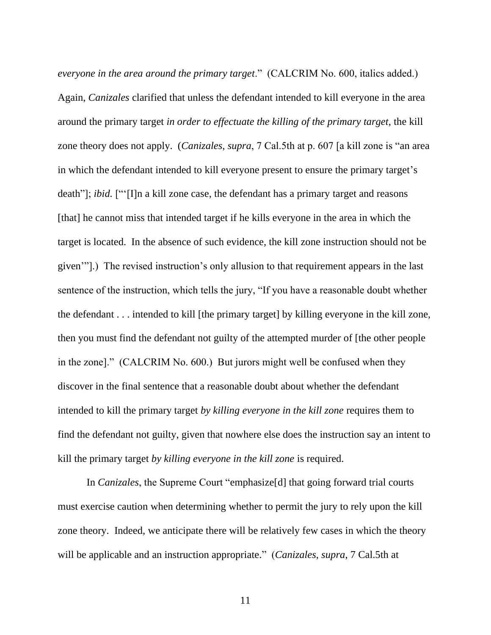*everyone in the area around the primary target*." (CALCRIM No. 600, italics added.) Again, *Canizales* clarified that unless the defendant intended to kill everyone in the area around the primary target *in order to effectuate the killing of the primary target*, the kill zone theory does not apply. (*Canizales*, *supra*, 7 Cal.5th at p. 607 [a kill zone is "an area in which the defendant intended to kill everyone present to ensure the primary target's death"]; *ibid.* ["'[I]n a kill zone case, the defendant has a primary target and reasons [that] he cannot miss that intended target if he kills everyone in the area in which the target is located. In the absence of such evidence, the kill zone instruction should not be given'"].) The revised instruction's only allusion to that requirement appears in the last sentence of the instruction, which tells the jury, "If you have a reasonable doubt whether the defendant . . . intended to kill [the primary target] by killing everyone in the kill zone, then you must find the defendant not guilty of the attempted murder of [the other people in the zone]." (CALCRIM No. 600.) But jurors might well be confused when they discover in the final sentence that a reasonable doubt about whether the defendant intended to kill the primary target *by killing everyone in the kill zone* requires them to find the defendant not guilty, given that nowhere else does the instruction say an intent to kill the primary target *by killing everyone in the kill zone* is required.

In *Canizales*, the Supreme Court "emphasize[d] that going forward trial courts must exercise caution when determining whether to permit the jury to rely upon the kill zone theory. Indeed, we anticipate there will be relatively few cases in which the theory will be applicable and an instruction appropriate." (*Canizales*, *supra*, 7 Cal.5th at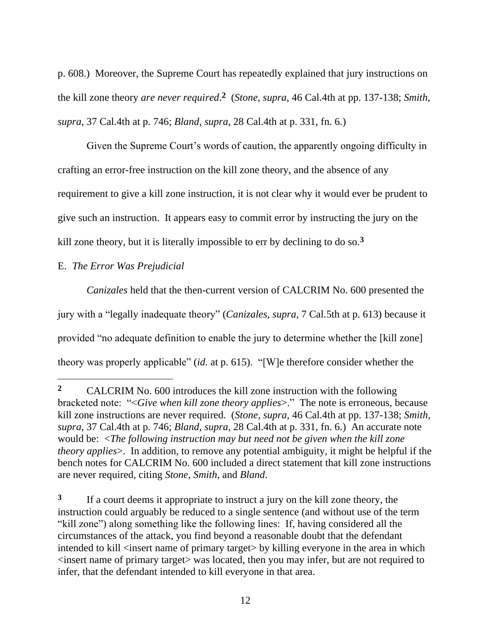p. 608.) Moreover, the Supreme Court has repeatedly explained that jury instructions on the kill zone theory *are never required*. **2** (*Stone*, *supra*, 46 Cal.4th at pp. 137-138; *Smith*, *supra*, 37 Cal.4th at p. 746; *Bland*, *supra*, 28 Cal.4th at p. 331, fn. 6.)

Given the Supreme Court's words of caution, the apparently ongoing difficulty in crafting an error-free instruction on the kill zone theory, and the absence of any requirement to give a kill zone instruction, it is not clear why it would ever be prudent to give such an instruction. It appears easy to commit error by instructing the jury on the kill zone theory, but it is literally impossible to err by declining to do so.**<sup>3</sup>**

## E. *The Error Was Prejudicial*

*Canizales* held that the then-current version of CALCRIM No. 600 presented the jury with a "legally inadequate theory" (*Canizales*, *supra*, 7 Cal.5th at p. 613) because it provided "no adequate definition to enable the jury to determine whether the [kill zone] theory was properly applicable" (*id.* at p. 615). "[W]e therefore consider whether the

**3** If a court deems it appropriate to instruct a jury on the kill zone theory, the instruction could arguably be reduced to a single sentence (and without use of the term "kill zone") along something like the following lines: If, having considered all the circumstances of the attack, you find beyond a reasonable doubt that the defendant intended to kill <insert name of primary target> by killing everyone in the area in which <insert name of primary target> was located, then you may infer, but are not required to infer, that the defendant intended to kill everyone in that area.

**<sup>2</sup>** CALCRIM No. 600 introduces the kill zone instruction with the following bracketed note: "<*Give when kill zone theory applies*>." The note is erroneous, because kill zone instructions are never required. (*Stone*, *supra*, 46 Cal.4th at pp. 137-138; *Smith*, *supra*, 37 Cal.4th at p. 746; *Bland*, *supra*, 28 Cal.4th at p. 331, fn. 6.) An accurate note would be: <*The following instruction may but need not be given when the kill zone theory applies*>. In addition, to remove any potential ambiguity, it might be helpful if the bench notes for CALCRIM No. 600 included a direct statement that kill zone instructions are never required, citing *Stone*, *Smith*, and *Bland*.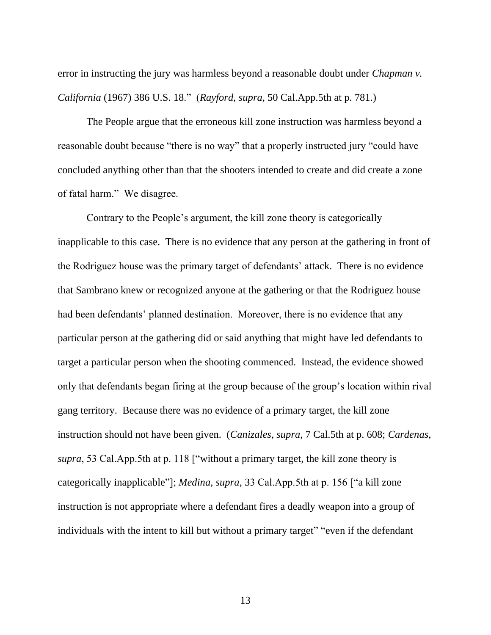error in instructing the jury was harmless beyond a reasonable doubt under *Chapman v. California* (1967) 386 U.S. 18." (*Rayford*, *supra*, 50 Cal.App.5th at p. 781.)

The People argue that the erroneous kill zone instruction was harmless beyond a reasonable doubt because "there is no way" that a properly instructed jury "could have concluded anything other than that the shooters intended to create and did create a zone of fatal harm." We disagree.

Contrary to the People's argument, the kill zone theory is categorically inapplicable to this case. There is no evidence that any person at the gathering in front of the Rodriguez house was the primary target of defendants' attack. There is no evidence that Sambrano knew or recognized anyone at the gathering or that the Rodriguez house had been defendants' planned destination. Moreover, there is no evidence that any particular person at the gathering did or said anything that might have led defendants to target a particular person when the shooting commenced. Instead, the evidence showed only that defendants began firing at the group because of the group's location within rival gang territory. Because there was no evidence of a primary target, the kill zone instruction should not have been given. (*Canizales*, *supra*, 7 Cal.5th at p. 608; *Cardenas*, *supra*, 53 Cal.App.5th at p. 118 ["without a primary target, the kill zone theory is categorically inapplicable"]; *Medina*, *supra*, 33 Cal.App.5th at p. 156 ["a kill zone instruction is not appropriate where a defendant fires a deadly weapon into a group of individuals with the intent to kill but without a primary target" "even if the defendant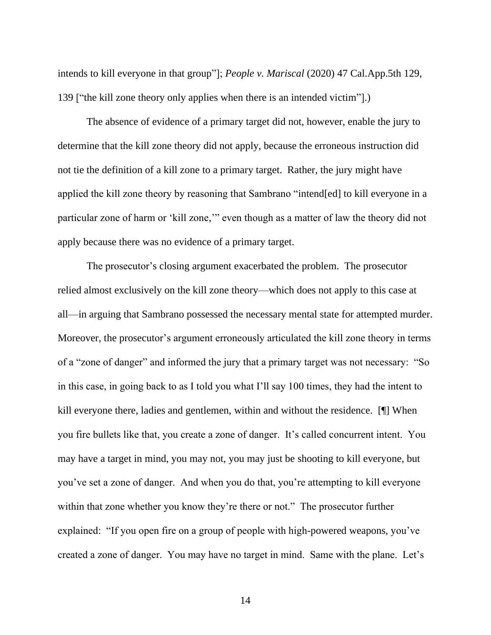intends to kill everyone in that group"]; *People v. Mariscal* (2020) 47 Cal.App.5th 129, 139 ["the kill zone theory only applies when there is an intended victim"].)

The absence of evidence of a primary target did not, however, enable the jury to determine that the kill zone theory did not apply, because the erroneous instruction did not tie the definition of a kill zone to a primary target. Rather, the jury might have applied the kill zone theory by reasoning that Sambrano "intend[ed] to kill everyone in a particular zone of harm or 'kill zone,'" even though as a matter of law the theory did not apply because there was no evidence of a primary target.

The prosecutor's closing argument exacerbated the problem. The prosecutor relied almost exclusively on the kill zone theory—which does not apply to this case at all—in arguing that Sambrano possessed the necessary mental state for attempted murder. Moreover, the prosecutor's argument erroneously articulated the kill zone theory in terms of a "zone of danger" and informed the jury that a primary target was not necessary: "So in this case, in going back to as I told you what I'll say 100 times, they had the intent to kill everyone there, ladies and gentlemen, within and without the residence. [¶] When you fire bullets like that, you create a zone of danger. It's called concurrent intent. You may have a target in mind, you may not, you may just be shooting to kill everyone, but you've set a zone of danger. And when you do that, you're attempting to kill everyone within that zone whether you know they're there or not." The prosecutor further explained: "If you open fire on a group of people with high-powered weapons, you've created a zone of danger. You may have no target in mind. Same with the plane. Let's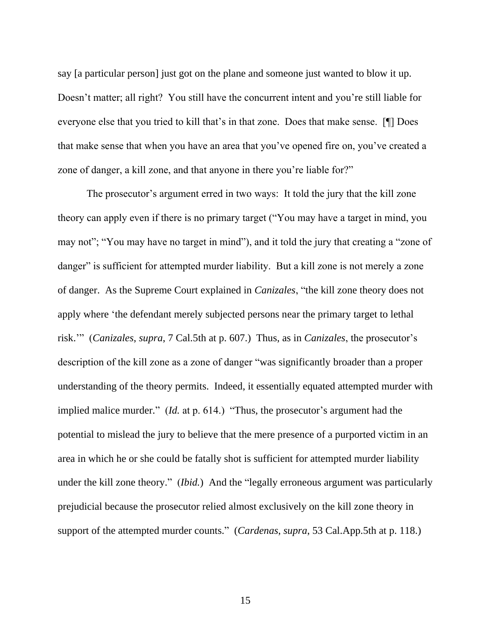say [a particular person] just got on the plane and someone just wanted to blow it up. Doesn't matter; all right? You still have the concurrent intent and you're still liable for everyone else that you tried to kill that's in that zone. Does that make sense. [¶] Does that make sense that when you have an area that you've opened fire on, you've created a zone of danger, a kill zone, and that anyone in there you're liable for?"

The prosecutor's argument erred in two ways: It told the jury that the kill zone theory can apply even if there is no primary target ("You may have a target in mind, you may not"; "You may have no target in mind"), and it told the jury that creating a "zone of danger" is sufficient for attempted murder liability. But a kill zone is not merely a zone of danger. As the Supreme Court explained in *Canizales*, "the kill zone theory does not apply where 'the defendant merely subjected persons near the primary target to lethal risk.'" (*Canizales*, *supra*, 7 Cal.5th at p. 607.) Thus, as in *Canizales*, the prosecutor's description of the kill zone as a zone of danger "was significantly broader than a proper understanding of the theory permits. Indeed, it essentially equated attempted murder with implied malice murder." (*Id.* at p. 614.) "Thus, the prosecutor's argument had the potential to mislead the jury to believe that the mere presence of a purported victim in an area in which he or she could be fatally shot is sufficient for attempted murder liability under the kill zone theory." (*Ibid.*) And the "legally erroneous argument was particularly prejudicial because the prosecutor relied almost exclusively on the kill zone theory in support of the attempted murder counts." (*Cardenas*, *supra*, 53 Cal.App.5th at p. 118.)